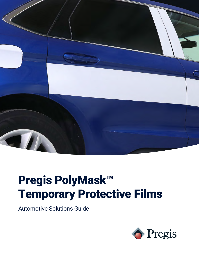

# Pregis PolyMask™ Temporary Protective Films

Automotive Solutions Guide

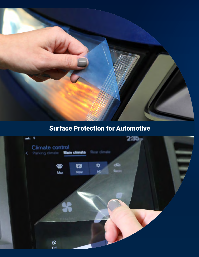

## Surface Protection for Automotive

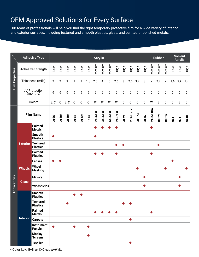## OEM Approved Solutions for Every Surface

Our team of professionals will help you find the right temporary protective film for a wide variety of interior and exterior surfaces, including textured and smooth plastics, glass, and painted or polished metals.

|                        | <b>Adhesive Type</b>             | <b>Acrylic</b>                     |          |                |       |                |                |                 |        |        |        |        |             |             |             | <b>Rubber</b> |                |        | <b>Solvent</b><br><b>Acrylic</b> |     |         |             |
|------------------------|----------------------------------|------------------------------------|----------|----------------|-------|----------------|----------------|-----------------|--------|--------|--------|--------|-------------|-------------|-------------|---------------|----------------|--------|----------------------------------|-----|---------|-------------|
| <b>Film Properties</b> | Adhesive Strength                |                                    | Low      | Low            | Low   | Low            | Low            | Low             | Medium | Medium | Medium | High   | <b>High</b> | High        | High        | High          | Medium         | Medium | Medium                           | Low | Low     | <b>Figh</b> |
|                        | Thickness (mils)                 |                                    | 2        | $\overline{2}$ | 3     | $\overline{2}$ | $\overline{c}$ | 1.3             | 2.5    | 4      | 6      | 2.5    | 3           | 2.5         | 3.2         | 3             | $\overline{2}$ | 2.4    | $\boldsymbol{2}$                 | 1.6 | 2.9     | 1.7         |
|                        | <b>UV</b> Protection<br>(months) |                                    | $\bf{0}$ | $\bf{0}$       | 0     | $\pmb{0}$      | $\pmb{0}$      | $\bf{0}$        | 6      | 6      | 6      | 6      | 0           | 0           | 5           | 0             | 6              | 0      | 0                                | 6   | 6       | 6           |
|                        | Color*                           |                                    | B, C     | C              | B, C  | C              | C              | $\mathbb{C}$    | W      | W      | W      | W      | C           | $\mathsf C$ | $\mathbb C$ | $\mathbf C$   | W              | В      | С                                | C   | $\sf B$ | $\mathbb C$ |
|                        | <b>Film Name</b>                 |                                    | 2106     | 21804          | 31804 | 2104           | 21825          | 1614            | 24S56W | 44S56W | 64S58W | 24S76W | 3179        | 2E93 C/EZ   | 31U73       | 3186          | 24S5010W       | R0621  | R0312                            | S44 | S74     | S410        |
| <b>Applications</b>    | <b>Exterior</b>                  | <b>Painted</b><br><b>Metals</b>    |          |                |       |                |                |                 |        |        |        |        |             |             |             |               |                |        |                                  |     |         |             |
|                        |                                  | <b>Smooth</b><br><b>Plastics</b>   |          |                |       |                |                |                 |        |        |        |        |             |             |             |               |                |        |                                  |     |         |             |
|                        |                                  | <b>Textured</b><br><b>Plastics</b> |          |                |       |                |                |                 |        |        |        |        |             |             |             |               |                |        |                                  |     |         |             |
|                        |                                  | <b>Painted</b><br><b>Plastics</b>  |          |                |       |                |                |                 |        |        |        |        |             |             |             |               | ◆              |        |                                  |     |         |             |
|                        |                                  | <b>Lenses</b>                      |          |                |       |                |                |                 |        |        |        |        |             |             |             |               |                |        |                                  | ◆   |         |             |
|                        | <b>Wheels</b>                    | <b>Wheel</b><br><b>Masking</b>     |          |                |       |                |                |                 |        |        |        |        |             |             | ◆           |               |                |        | ◆                                |     |         |             |
|                        | <b>Glass</b>                     | <b>Mirrors</b>                     |          |                |       |                |                |                 |        |        |        |        |             |             |             | ◆             |                |        |                                  |     | ◆       |             |
|                        |                                  | Windshields                        |          |                |       |                |                |                 |        |        |        |        |             |             |             | ٠             |                |        |                                  |     |         |             |
|                        | <b>Interior</b>                  | <b>Smooth</b><br><b>Plastics</b>   |          |                |       |                |                |                 |        |        |        |        |             |             |             |               |                |        |                                  |     |         |             |
|                        |                                  | <b>Textured</b><br><b>Plastics</b> |          |                | ◆     |                |                |                 |        |        |        |        |             |             |             |               |                |        |                                  |     |         |             |
|                        |                                  | <b>Painted</b><br><b>Metals</b>    |          |                |       |                |                |                 |        | ◆      |        | ◆      |             |             |             |               | ◆              |        |                                  |     |         |             |
|                        |                                  | <b>Carpets</b>                     |          |                |       |                |                |                 |        |        |        |        |             | $\bullet$   |             |               |                |        |                                  |     |         |             |
|                        |                                  | <b>Instrument</b><br><b>Panels</b> |          |                |       | ◆              |                | $\blacklozenge$ |        |        |        |        |             |             |             |               |                |        |                                  |     |         |             |
|                        |                                  | <b>Display</b><br><b>Screens</b>   |          |                |       |                |                | ٠               |        |        |        |        |             |             |             |               |                |        |                                  |     |         |             |
|                        |                                  | <b>Textiles</b>                    |          |                |       |                |                |                 |        |        |        |        |             | Þ           |             |               |                |        |                                  |     |         |             |

\* Color key: B–Blue, C–Clear, W–White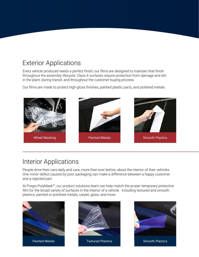## Exterior Applications

Every vehicle produced needs a perfect finish; our films are designed to maintain that finish throughout the assembly lifecycle. Class A surfaces require protection from damage and dirt in the plant, during transit, and throughout the customer buying process.

Our films are made to protect high-gloss finishes, painted plastic parts, and polished metals.



#### Interior Applications

People drive their cars daily and care, more than ever before, about the interior of their vehicles. One minor defect caused by poor packaging can make a difference between a happy customer and a rejected part.

At Pregis PolyMask™, our product solutions team can help match the proper temporary protective film for the broad variety of surfaces in the interior of a vehicle. Including textured and smooth plastics, painted or polished metals, carpet, glass, and more.





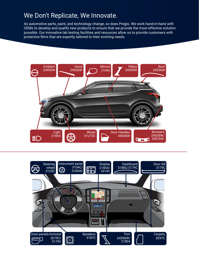#### We Don't Replicate, We Innovate.

As automotive parts, paint, and technology change, so does Pregis. We work hand-in-hand with OEMs to develop and qualify new products to ensure that we provide the most effective solution possible. Our innovative lab testing facilities and resources allow us to provide customers with protective films that are expertly tailored to their evolving needs.